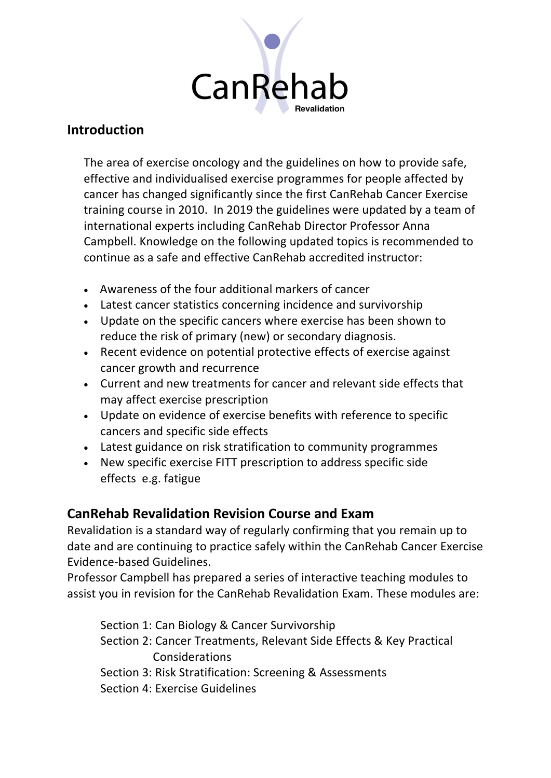

## **Introduction**

The area of exercise oncology and the guidelines on how to provide safe, effective and individualised exercise programmes for people affected by cancer has changed significantly since the first CanRehab Cancer Exercise training course in 2010. In 2019 the guidelines were updated by a team of international experts including CanRehab Director Professor Anna Campbell. Knowledge on the following updated topics is recommended to continue as a safe and effective CanRehab accredited instructor:

- Awareness of the four additional markers of cancer
- Latest cancer statistics concerning incidence and survivorship
- Update on the specific cancers where exercise has been shown to reduce the risk of primary (new) or secondary diagnosis.
- Recent evidence on potential protective effects of exercise against cancer growth and recurrence
- Current and new treatments for cancer and relevant side effects that may affect exercise prescription
- Update on evidence of exercise benefits with reference to specific cancers and specific side effects
- Latest guidance on risk stratification to community programmes
- New specific exercise FITT prescription to address specific side effects e.g. fatigue

## **CanRehab Revalidation Revision Course and Exam**

Revalidation is a standard way of regularly confirming that you remain up to date and are continuing to practice safely within the CanRehab Cancer Exercise Evidence-based Guidelines.

Professor Campbell has prepared a series of interactive teaching modules to assist you in revision for the CanRehab Revalidation Exam. These modules are:

Section 1: Can Biology & Cancer Survivorship Section 2: Cancer Treatments, Relevant Side Effects & Key Practical Considerations Section 3: Risk Stratification: Screening & Assessments Section 4: Exercise Guidelines